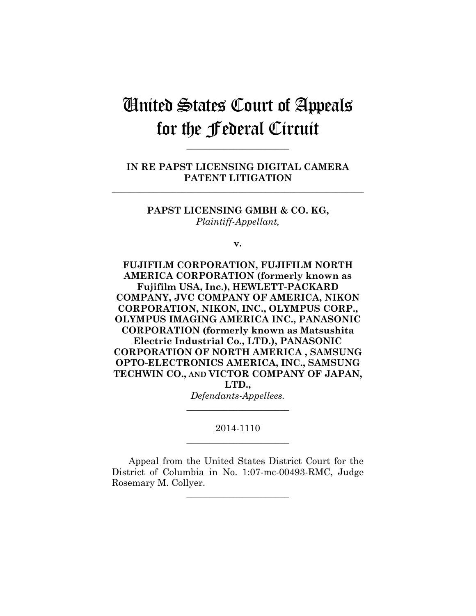# United States Court of Appeals for the Federal Circuit

**IN RE PAPST LICENSING DIGITAL CAMERA PATENT LITIGATION**

**\_\_\_\_\_\_\_\_\_\_\_\_\_\_\_\_\_\_\_\_\_\_\_\_\_\_\_\_\_\_\_\_\_\_\_\_\_\_\_\_\_\_\_\_\_\_\_\_\_\_\_\_\_\_**

**\_\_\_\_\_\_\_\_\_\_\_\_\_\_\_\_\_\_\_\_\_\_** 

**PAPST LICENSING GMBH & CO. KG,** *Plaintiff-Appellant,*

**v.**

**FUJIFILM CORPORATION, FUJIFILM NORTH AMERICA CORPORATION (formerly known as Fujifilm USA, Inc.), HEWLETT-PACKARD COMPANY, JVC COMPANY OF AMERICA, NIKON CORPORATION, NIKON, INC., OLYMPUS CORP., OLYMPUS IMAGING AMERICA INC., PANASONIC CORPORATION (formerly known as Matsushita Electric Industrial Co., LTD.), PANASONIC CORPORATION OF NORTH AMERICA , SAMSUNG OPTO-ELECTRONICS AMERICA, INC., SAMSUNG TECHWIN CO., AND VICTOR COMPANY OF JAPAN, LTD.,** *Defendants-Appellees.*

> 2014-1110 **\_\_\_\_\_\_\_\_\_\_\_\_\_\_\_\_\_\_\_\_\_\_**

> **\_\_\_\_\_\_\_\_\_\_\_\_\_\_\_\_\_\_\_\_\_\_**

Appeal from the United States District Court for the District of Columbia in No. 1:07-mc-00493-RMC, Judge Rosemary M. Collyer.

**\_\_\_\_\_\_\_\_\_\_\_\_\_\_\_\_\_\_\_\_\_\_**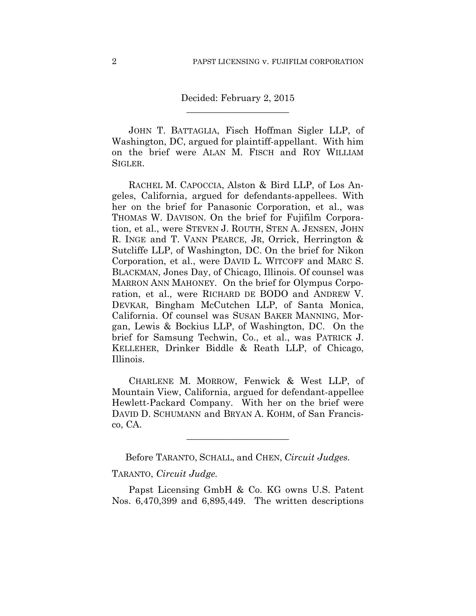# Decided: February 2, 2015 **\_\_\_\_\_\_\_\_\_\_\_\_\_\_\_\_\_\_\_\_\_\_**

JOHN T. BATTAGLIA, Fisch Hoffman Sigler LLP, of Washington, DC, argued for plaintiff-appellant. With him on the brief were ALAN M. FISCH and ROY WILLIAM SIGLER.

RACHEL M. CAPOCCIA, Alston & Bird LLP, of Los Angeles, California, argued for defendants-appellees. With her on the brief for Panasonic Corporation, et al., was THOMAS W. DAVISON. On the brief for Fujifilm Corporation, et al., were STEVEN J. ROUTH, STEN A. JENSEN, JOHN R. INGE and T. VANN PEARCE, JR, Orrick, Herrington & Sutcliffe LLP, of Washington, DC. On the brief for Nikon Corporation, et al., were DAVID L. WITCOFF and MARC S. BLACKMAN, Jones Day, of Chicago, Illinois. Of counsel was MARRON ANN MAHONEY. On the brief for Olympus Corporation, et al., were RICHARD DE BODO and ANDREW V. DEVKAR, Bingham McCutchen LLP, of Santa Monica, California. Of counsel was SUSAN BAKER MANNING, Morgan, Lewis & Bockius LLP, of Washington, DC. On the brief for Samsung Techwin, Co., et al., was PATRICK J. KELLEHER, Drinker Biddle & Reath LLP, of Chicago, Illinois.

CHARLENE M. MORROW, Fenwick & West LLP, of Mountain View, California, argued for defendant-appellee Hewlett-Packard Company. With her on the brief were DAVID D. SCHUMANN and BRYAN A. KOHM, of San Francisco, CA.

Before TARANTO, SCHALL, and CHEN, *Circuit Judges.*

**\_\_\_\_\_\_\_\_\_\_\_\_\_\_\_\_\_\_\_\_\_\_** 

#### TARANTO, *Circuit Judge.*

Papst Licensing GmbH & Co. KG owns U.S. Patent Nos. 6,470,399 and 6,895,449. The written descriptions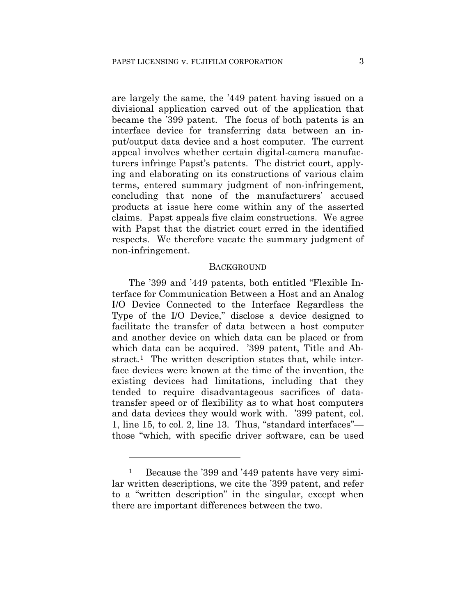are largely the same, the '449 patent having issued on a divisional application carved out of the application that became the '399 patent. The focus of both patents is an interface device for transferring data between an input/output data device and a host computer. The current appeal involves whether certain digital-camera manufacturers infringe Papst's patents. The district court, applying and elaborating on its constructions of various claim terms, entered summary judgment of non-infringement, concluding that none of the manufacturers' accused products at issue here come within any of the asserted claims. Papst appeals five claim constructions. We agree with Papst that the district court erred in the identified respects. We therefore vacate the summary judgment of non-infringement.

#### BACKGROUND

The '399 and '449 patents, both entitled "Flexible Interface for Communication Between a Host and an Analog I/O Device Connected to the Interface Regardless the Type of the I/O Device," disclose a device designed to facilitate the transfer of data between a host computer and another device on which data can be placed or from which data can be acquired. '399 patent, Title and Abstract.<sup>1</sup> The written description states that, while interface devices were known at the time of the invention, the existing devices had limitations, including that they tended to require disadvantageous sacrifices of datatransfer speed or of flexibility as to what host computers and data devices they would work with. '399 patent, col. 1, line 15, to col. 2, line 13. Thus, "standard interfaces" those "which, with specific driver software, can be used

<u>.</u>

<sup>1</sup> Because the '399 and '449 patents have very similar written descriptions, we cite the '399 patent, and refer to a "written description" in the singular, except when there are important differences between the two.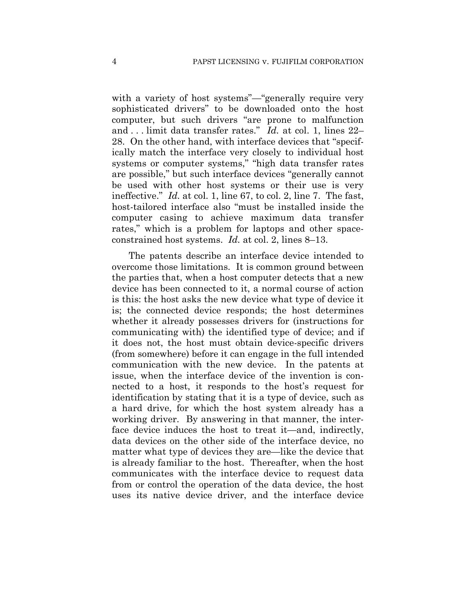with a variety of host systems"—"generally require very sophisticated drivers" to be downloaded onto the host computer, but such drivers "are prone to malfunction and . . . limit data transfer rates." *Id.* at col. 1, lines 22– 28. On the other hand, with interface devices that "specifically match the interface very closely to individual host systems or computer systems," "high data transfer rates are possible," but such interface devices "generally cannot be used with other host systems or their use is very ineffective." *Id.* at col. 1, line 67, to col. 2, line 7. The fast, host-tailored interface also "must be installed inside the computer casing to achieve maximum data transfer rates," which is a problem for laptops and other spaceconstrained host systems. *Id.* at col. 2, lines 8–13.

The patents describe an interface device intended to overcome those limitations. It is common ground between the parties that, when a host computer detects that a new device has been connected to it, a normal course of action is this: the host asks the new device what type of device it is; the connected device responds; the host determines whether it already possesses drivers for (instructions for communicating with) the identified type of device; and if it does not, the host must obtain device-specific drivers (from somewhere) before it can engage in the full intended communication with the new device. In the patents at issue, when the interface device of the invention is connected to a host, it responds to the host's request for identification by stating that it is a type of device, such as a hard drive, for which the host system already has a working driver. By answering in that manner, the interface device induces the host to treat it—and, indirectly, data devices on the other side of the interface device, no matter what type of devices they are—like the device that is already familiar to the host. Thereafter, when the host communicates with the interface device to request data from or control the operation of the data device, the host uses its native device driver, and the interface device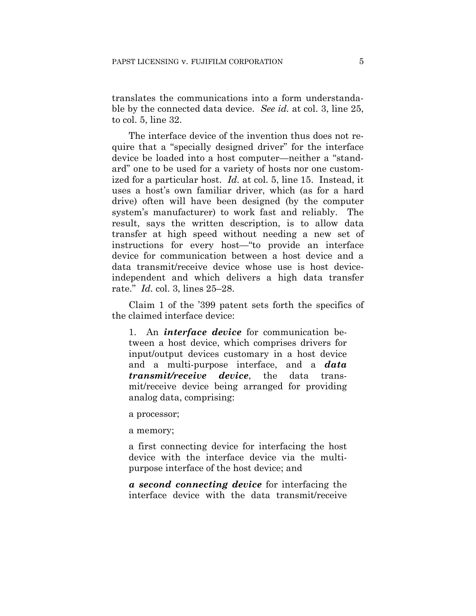translates the communications into a form understandable by the connected data device. *See id.* at col. 3, line 25, to col. 5, line 32.

The interface device of the invention thus does not require that a "specially designed driver" for the interface device be loaded into a host computer—neither a "standard" one to be used for a variety of hosts nor one customized for a particular host. *Id.* at col. 5, line 15. Instead, it uses a host's own familiar driver, which (as for a hard drive) often will have been designed (by the computer system's manufacturer) to work fast and reliably. The result, says the written description, is to allow data transfer at high speed without needing a new set of instructions for every host—"to provide an interface device for communication between a host device and a data transmit/receive device whose use is host deviceindependent and which delivers a high data transfer rate." *Id.* col. 3, lines 25–28.

Claim 1 of the '399 patent sets forth the specifics of the claimed interface device:

1. An *interface device* for communication between a host device, which comprises drivers for input/output devices customary in a host device and a multi-purpose interface, and a *data transmit/receive device*, the data transmit/receive device being arranged for providing analog data, comprising:

a processor;

a memory;

a first connecting device for interfacing the host device with the interface device via the multipurpose interface of the host device; and

*a second connecting device* for interfacing the interface device with the data transmit/receive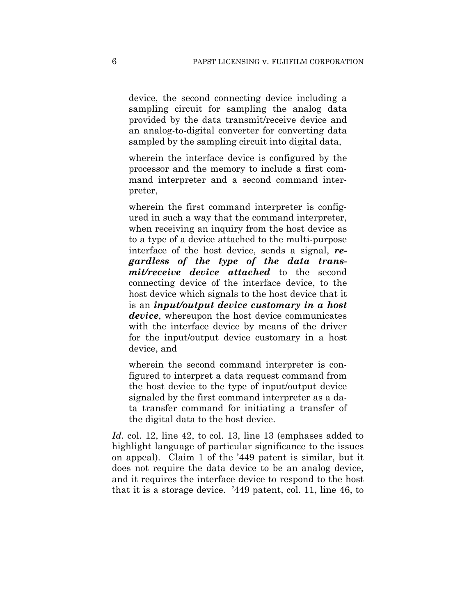device, the second connecting device including a sampling circuit for sampling the analog data provided by the data transmit/receive device and an analog-to-digital converter for converting data sampled by the sampling circuit into digital data,

wherein the interface device is configured by the processor and the memory to include a first command interpreter and a second command interpreter,

wherein the first command interpreter is configured in such a way that the command interpreter, when receiving an inquiry from the host device as to a type of a device attached to the multi-purpose interface of the host device, sends a signal, *regardless of the type of the data transmit/receive device attached* to the second connecting device of the interface device, to the host device which signals to the host device that it is an *input/output device customary in a host device*, whereupon the host device communicates with the interface device by means of the driver for the input/output device customary in a host device, and

wherein the second command interpreter is configured to interpret a data request command from the host device to the type of input/output device signaled by the first command interpreter as a data transfer command for initiating a transfer of the digital data to the host device.

Id. col. 12, line 42, to col. 13, line 13 (emphases added to highlight language of particular significance to the issues on appeal). Claim 1 of the '449 patent is similar, but it does not require the data device to be an analog device, and it requires the interface device to respond to the host that it is a storage device. '449 patent, col. 11, line 46, to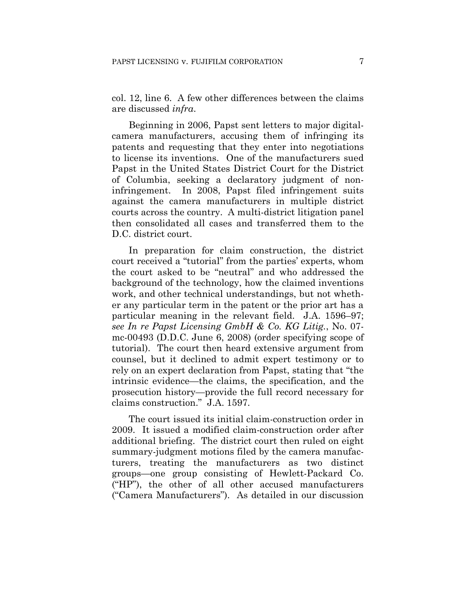col. 12, line 6. A few other differences between the claims are discussed *infra*.

Beginning in 2006, Papst sent letters to major digitalcamera manufacturers, accusing them of infringing its patents and requesting that they enter into negotiations to license its inventions. One of the manufacturers sued Papst in the United States District Court for the District of Columbia, seeking a declaratory judgment of noninfringement. In 2008, Papst filed infringement suits against the camera manufacturers in multiple district courts across the country. A multi-district litigation panel then consolidated all cases and transferred them to the D.C. district court.

In preparation for claim construction, the district court received a "tutorial" from the parties' experts, whom the court asked to be "neutral" and who addressed the background of the technology, how the claimed inventions work, and other technical understandings, but not whether any particular term in the patent or the prior art has a particular meaning in the relevant field. J.A. 1596–97; *see In re Papst Licensing GmbH & Co. KG Litig.*, No. 07 mc-00493 (D.D.C. June 6, 2008) (order specifying scope of tutorial). The court then heard extensive argument from counsel, but it declined to admit expert testimony or to rely on an expert declaration from Papst, stating that "the intrinsic evidence—the claims, the specification, and the prosecution history—provide the full record necessary for claims construction." J.A. 1597.

The court issued its initial claim-construction order in 2009. It issued a modified claim-construction order after additional briefing. The district court then ruled on eight summary-judgment motions filed by the camera manufacturers, treating the manufacturers as two distinct groups—one group consisting of Hewlett-Packard Co. ("HP"), the other of all other accused manufacturers ("Camera Manufacturers"). As detailed in our discussion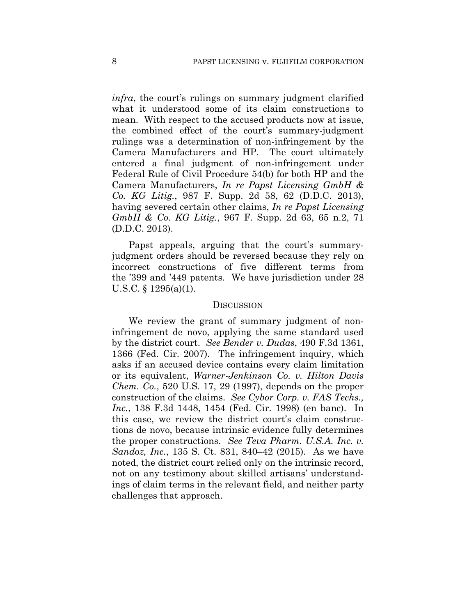*infra*, the court's rulings on summary judgment clarified what it understood some of its claim constructions to mean. With respect to the accused products now at issue, the combined effect of the court's summary-judgment rulings was a determination of non-infringement by the Camera Manufacturers and HP. The court ultimately entered a final judgment of non-infringement under Federal Rule of Civil Procedure 54(b) for both HP and the Camera Manufacturers, *In re Papst Licensing GmbH & Co. KG Litig.*, 987 F. Supp. 2d 58, 62 (D.D.C. 2013), having severed certain other claims, *In re Papst Licensing GmbH & Co. KG Litig.*, 967 F. Supp. 2d 63, 65 n.2, 71 (D.D.C. 2013).

Papst appeals, arguing that the court's summaryjudgment orders should be reversed because they rely on incorrect constructions of five different terms from the '399 and '449 patents. We have jurisdiction under 28 U.S.C. § 1295(a)(1).

#### **DISCUSSION**

We review the grant of summary judgment of noninfringement de novo, applying the same standard used by the district court. *See Bender v. Dudas*, 490 F.3d 1361, 1366 (Fed. Cir. 2007). The infringement inquiry, which asks if an accused device contains every claim limitation or its equivalent, *Warner-Jenkinson Co. v. Hilton Davis Chem. Co.*, 520 U.S. 17, 29 (1997), depends on the proper construction of the claims. *See Cybor Corp. v. FAS Techs., Inc.*, 138 F.3d 1448, 1454 (Fed. Cir. 1998) (en banc). In this case, we review the district court's claim constructions de novo, because intrinsic evidence fully determines the proper constructions. *See Teva Pharm. U.S.A. Inc. v. Sandoz, Inc.*, 135 S. Ct. 831, 840–42 (2015). As we have noted, the district court relied only on the intrinsic record, not on any testimony about skilled artisans' understandings of claim terms in the relevant field, and neither party challenges that approach.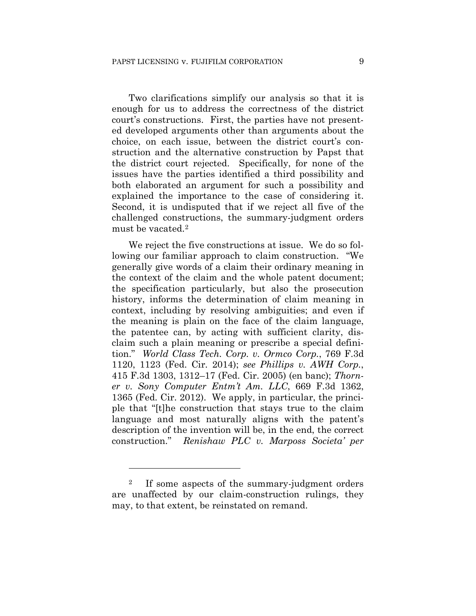Two clarifications simplify our analysis so that it is enough for us to address the correctness of the district court's constructions. First, the parties have not presented developed arguments other than arguments about the choice, on each issue, between the district court's construction and the alternative construction by Papst that the district court rejected. Specifically, for none of the issues have the parties identified a third possibility and both elaborated an argument for such a possibility and explained the importance to the case of considering it. Second, it is undisputed that if we reject all five of the challenged constructions, the summary-judgment orders must be vacated.2

We reject the five constructions at issue. We do so following our familiar approach to claim construction. "We generally give words of a claim their ordinary meaning in the context of the claim and the whole patent document; the specification particularly, but also the prosecution history, informs the determination of claim meaning in context, including by resolving ambiguities; and even if the meaning is plain on the face of the claim language, the patentee can, by acting with sufficient clarity, disclaim such a plain meaning or prescribe a special definition." *World Class Tech. Corp. v. Ormco Corp.*, 769 F.3d 1120, 1123 (Fed. Cir. 2014); *see Phillips v. AWH Corp.*, 415 F.3d 1303, 1312–17 (Fed. Cir. 2005) (en banc); *Thorner v. Sony Computer Entm't Am. LLC*, 669 F.3d 1362, 1365 (Fed. Cir. 2012). We apply, in particular, the principle that "[t]he construction that stays true to the claim language and most naturally aligns with the patent's description of the invention will be, in the end, the correct construction." *Renishaw PLC v. Marposs Societa' per* 

1

<sup>2</sup> If some aspects of the summary-judgment orders are unaffected by our claim-construction rulings, they may, to that extent, be reinstated on remand.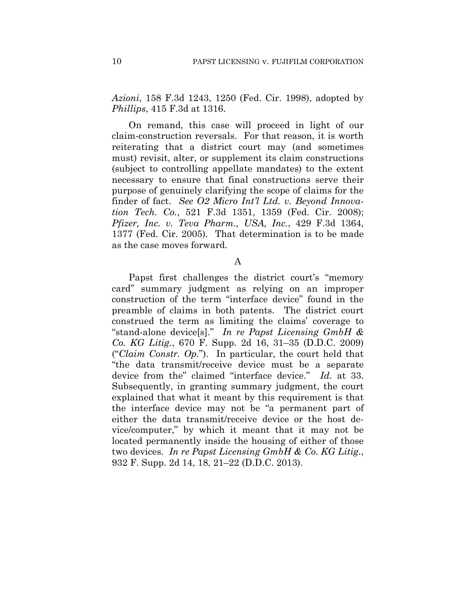*Azioni*, 158 F.3d 1243, 1250 (Fed. Cir. 1998), adopted by *Phillips*, 415 F.3d at 1316.

On remand, this case will proceed in light of our claim-construction reversals. For that reason, it is worth reiterating that a district court may (and sometimes must) revisit, alter, or supplement its claim constructions (subject to controlling appellate mandates) to the extent necessary to ensure that final constructions serve their purpose of genuinely clarifying the scope of claims for the finder of fact. *See O2 Micro Int'l Ltd. v. Beyond Innovation Tech. Co.*, 521 F.3d 1351, 1359 (Fed. Cir. 2008); *Pfizer, Inc. v. Teva Pharm., USA, Inc.*, 429 F.3d 1364, 1377 (Fed. Cir. 2005). That determination is to be made as the case moves forward.

A

Papst first challenges the district court's "memory card" summary judgment as relying on an improper construction of the term "interface device" found in the preamble of claims in both patents. The district court construed the term as limiting the claims' coverage to "stand-alone device[s]." *In re Papst Licensing GmbH & Co. KG Litig.*, 670 F. Supp. 2d 16, 31–35 (D.D.C. 2009) ("*Claim Constr. Op.*"). In particular, the court held that "the data transmit/receive device must be a separate device from the" claimed "interface device." *Id.* at 33. Subsequently, in granting summary judgment, the court explained that what it meant by this requirement is that the interface device may not be "a permanent part of either the data transmit/receive device or the host device/computer," by which it meant that it may not be located permanently inside the housing of either of those two devices. *In re Papst Licensing GmbH & Co. KG Litig.*, 932 F. Supp. 2d 14, 18, 21–22 (D.D.C. 2013).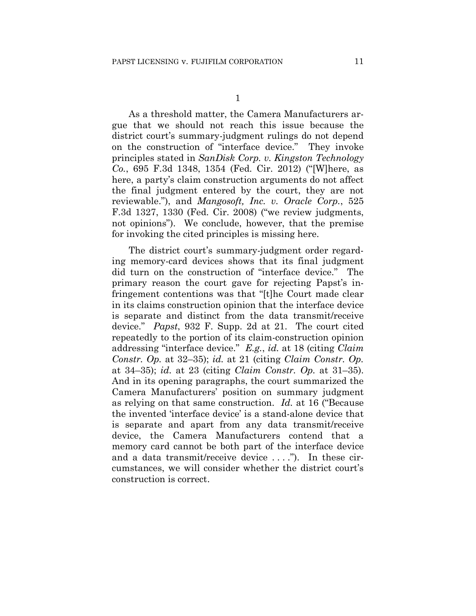As a threshold matter, the Camera Manufacturers argue that we should not reach this issue because the district court's summary-judgment rulings do not depend on the construction of "interface device." They invoke principles stated in *SanDisk Corp. v. Kingston Technology Co.*, 695 F.3d 1348, 1354 (Fed. Cir. 2012) ("[W]here, as here, a party's claim construction arguments do not affect the final judgment entered by the court, they are not reviewable."), and *Mangosoft, Inc. v. Oracle Corp.*, 525 F.3d 1327, 1330 (Fed. Cir. 2008) ("we review judgments, not opinions"). We conclude, however, that the premise for invoking the cited principles is missing here.

The district court's summary-judgment order regarding memory-card devices shows that its final judgment did turn on the construction of "interface device." The primary reason the court gave for rejecting Papst's infringement contentions was that "[t]he Court made clear in its claims construction opinion that the interface device is separate and distinct from the data transmit/receive device." *Papst*, 932 F. Supp. 2d at 21. The court cited repeatedly to the portion of its claim-construction opinion addressing "interface device." *E.g.*, *id.* at 18 (citing *Claim Constr. Op.* at 32–35); *id.* at 21 (citing *Claim Constr. Op.* at 34–35); *id.* at 23 (citing *Claim Constr. Op.* at 31–35). And in its opening paragraphs, the court summarized the Camera Manufacturers' position on summary judgment as relying on that same construction. *Id.* at 16 ("Because the invented 'interface device' is a stand-alone device that is separate and apart from any data transmit/receive device, the Camera Manufacturers contend that a memory card cannot be both part of the interface device and a data transmit/receive device . . . ."). In these circumstances, we will consider whether the district court's construction is correct.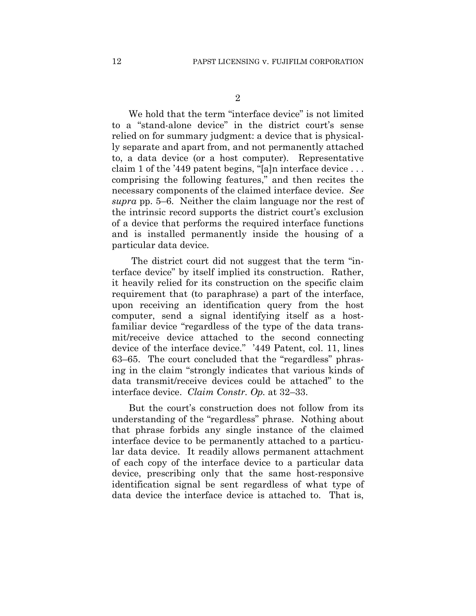We hold that the term "interface device" is not limited to a "stand-alone device" in the district court's sense relied on for summary judgment: a device that is physically separate and apart from, and not permanently attached to, a data device (or a host computer). Representative claim 1 of the '449 patent begins, "[a]n interface device . . . comprising the following features," and then recites the necessary components of the claimed interface device. *See supra* pp. 5–6. Neither the claim language nor the rest of the intrinsic record supports the district court's exclusion of a device that performs the required interface functions and is installed permanently inside the housing of a particular data device.

The district court did not suggest that the term "interface device" by itself implied its construction. Rather, it heavily relied for its construction on the specific claim requirement that (to paraphrase) a part of the interface, upon receiving an identification query from the host computer, send a signal identifying itself as a hostfamiliar device "regardless of the type of the data transmit/receive device attached to the second connecting device of the interface device." '449 Patent, col. 11, lines 63–65. The court concluded that the "regardless" phrasing in the claim "strongly indicates that various kinds of data transmit/receive devices could be attached" to the interface device. *Claim Constr. Op.* at 32–33.

But the court's construction does not follow from its understanding of the "regardless" phrase. Nothing about that phrase forbids any single instance of the claimed interface device to be permanently attached to a particular data device. It readily allows permanent attachment of each copy of the interface device to a particular data device, prescribing only that the same host-responsive identification signal be sent regardless of what type of data device the interface device is attached to. That is,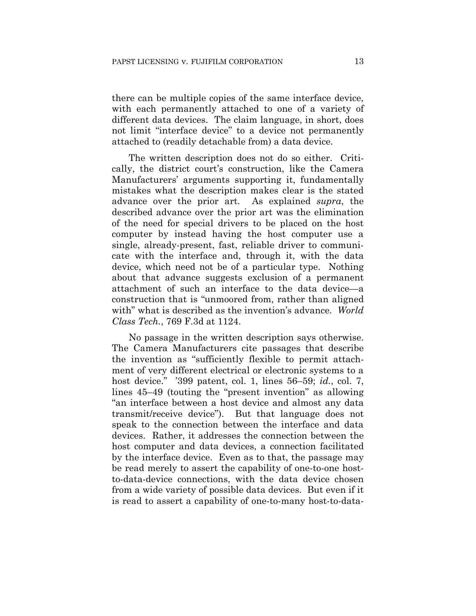there can be multiple copies of the same interface device, with each permanently attached to one of a variety of different data devices. The claim language, in short, does not limit "interface device" to a device not permanently attached to (readily detachable from) a data device.

The written description does not do so either. Critically, the district court's construction, like the Camera Manufacturers' arguments supporting it, fundamentally mistakes what the description makes clear is the stated advance over the prior art. As explained *supra*, the described advance over the prior art was the elimination of the need for special drivers to be placed on the host computer by instead having the host computer use a single, already-present, fast, reliable driver to communicate with the interface and, through it, with the data device, which need not be of a particular type. Nothing about that advance suggests exclusion of a permanent attachment of such an interface to the data device—a construction that is "unmoored from, rather than aligned with" what is described as the invention's advance. *World Class Tech.*, 769 F.3d at 1124.

No passage in the written description says otherwise. The Camera Manufacturers cite passages that describe the invention as "sufficiently flexible to permit attachment of very different electrical or electronic systems to a host device." '399 patent, col. 1, lines 56–59; *id.*, col. 7, lines 45–49 (touting the "present invention" as allowing "an interface between a host device and almost any data transmit/receive device"). But that language does not speak to the connection between the interface and data devices. Rather, it addresses the connection between the host computer and data devices, a connection facilitated by the interface device. Even as to that, the passage may be read merely to assert the capability of one-to-one hostto-data-device connections, with the data device chosen from a wide variety of possible data devices. But even if it is read to assert a capability of one-to-many host-to-data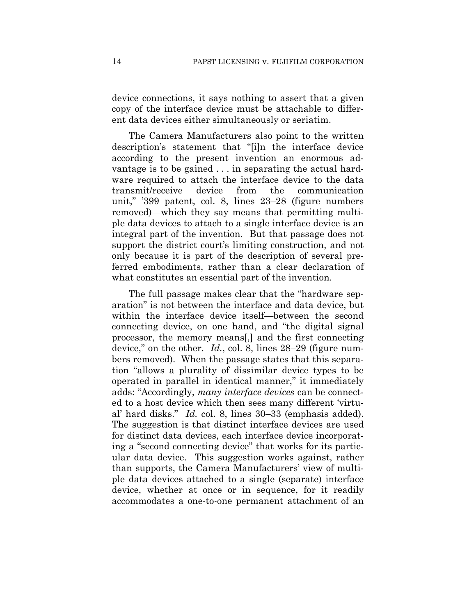device connections, it says nothing to assert that a given copy of the interface device must be attachable to different data devices either simultaneously or seriatim.

The Camera Manufacturers also point to the written description's statement that "[i]n the interface device according to the present invention an enormous advantage is to be gained . . . in separating the actual hardware required to attach the interface device to the data transmit/receive device from the communication unit," '399 patent, col. 8, lines 23–28 (figure numbers removed)—which they say means that permitting multiple data devices to attach to a single interface device is an integral part of the invention. But that passage does not support the district court's limiting construction, and not only because it is part of the description of several preferred embodiments, rather than a clear declaration of what constitutes an essential part of the invention.

The full passage makes clear that the "hardware separation" is not between the interface and data device, but within the interface device itself—between the second connecting device, on one hand, and "the digital signal processor, the memory means[,] and the first connecting device," on the other. *Id.*, col. 8, lines 28–29 (figure numbers removed). When the passage states that this separation "allows a plurality of dissimilar device types to be operated in parallel in identical manner," it immediately adds: "Accordingly, *many interface devices* can be connected to a host device which then sees many different 'virtual' hard disks." *Id.* col. 8, lines 30–33 (emphasis added). The suggestion is that distinct interface devices are used for distinct data devices, each interface device incorporating a "second connecting device" that works for its particular data device. This suggestion works against, rather than supports, the Camera Manufacturers' view of multiple data devices attached to a single (separate) interface device, whether at once or in sequence, for it readily accommodates a one-to-one permanent attachment of an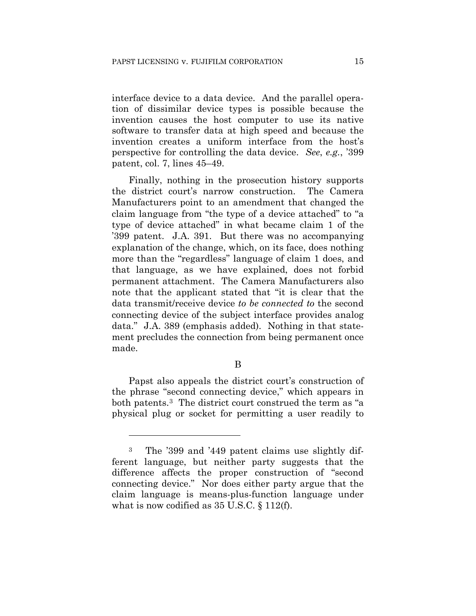interface device to a data device. And the parallel operation of dissimilar device types is possible because the invention causes the host computer to use its native software to transfer data at high speed and because the invention creates a uniform interface from the host's perspective for controlling the data device. *See*, *e.g.*, '399 patent, col. 7, lines 45–49.

Finally, nothing in the prosecution history supports the district court's narrow construction. The Camera Manufacturers point to an amendment that changed the claim language from "the type of a device attached" to "a type of device attached" in what became claim 1 of the '399 patent. J.A. 391. But there was no accompanying explanation of the change, which, on its face, does nothing more than the "regardless" language of claim 1 does, and that language, as we have explained, does not forbid permanent attachment. The Camera Manufacturers also note that the applicant stated that "it is clear that the data transmit/receive device *to be connected to* the second connecting device of the subject interface provides analog data." J.A. 389 (emphasis added). Nothing in that statement precludes the connection from being permanent once made.

## B

Papst also appeals the district court's construction of the phrase "second connecting device," which appears in both patents.3 The district court construed the term as "a physical plug or socket for permitting a user readily to

1

<sup>3</sup> The '399 and '449 patent claims use slightly different language, but neither party suggests that the difference affects the proper construction of "second connecting device." Nor does either party argue that the claim language is means-plus-function language under what is now codified as 35 U.S.C. § 112(f).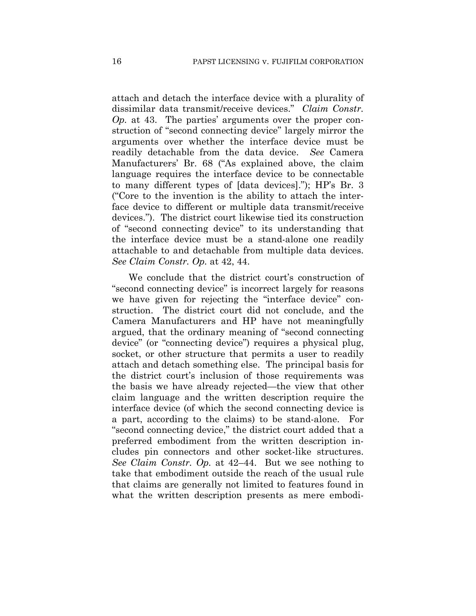attach and detach the interface device with a plurality of dissimilar data transmit/receive devices." *Claim Constr. Op.* at 43. The parties' arguments over the proper construction of "second connecting device" largely mirror the arguments over whether the interface device must be readily detachable from the data device. *See* Camera Manufacturers' Br. 68 ("As explained above, the claim language requires the interface device to be connectable to many different types of [data devices]."); HP's Br. 3 ("Core to the invention is the ability to attach the interface device to different or multiple data transmit/receive devices."). The district court likewise tied its construction of "second connecting device" to its understanding that the interface device must be a stand-alone one readily attachable to and detachable from multiple data devices. *See Claim Constr. Op.* at 42, 44.

We conclude that the district court's construction of "second connecting device" is incorrect largely for reasons we have given for rejecting the "interface device" construction. The district court did not conclude, and the Camera Manufacturers and HP have not meaningfully argued, that the ordinary meaning of "second connecting device" (or "connecting device") requires a physical plug, socket, or other structure that permits a user to readily attach and detach something else. The principal basis for the district court's inclusion of those requirements was the basis we have already rejected—the view that other claim language and the written description require the interface device (of which the second connecting device is a part, according to the claims) to be stand-alone. For "second connecting device," the district court added that a preferred embodiment from the written description includes pin connectors and other socket-like structures. *See Claim Constr. Op.* at 42–44. But we see nothing to take that embodiment outside the reach of the usual rule that claims are generally not limited to features found in what the written description presents as mere embodi-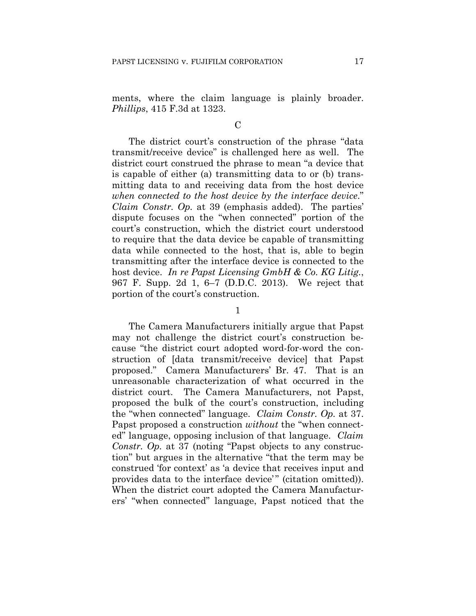ments, where the claim language is plainly broader. *Phillips*, 415 F.3d at 1323.

### $\mathcal C$

The district court's construction of the phrase "data transmit/receive device" is challenged here as well. The district court construed the phrase to mean "a device that is capable of either (a) transmitting data to or (b) transmitting data to and receiving data from the host device *when connected to the host device by the interface device*." *Claim Constr. Op.* at 39 (emphasis added). The parties' dispute focuses on the "when connected" portion of the court's construction, which the district court understood to require that the data device be capable of transmitting data while connected to the host, that is, able to begin transmitting after the interface device is connected to the host device. *In re Papst Licensing GmbH & Co. KG Litig.*, 967 F. Supp. 2d 1, 6–7 (D.D.C. 2013). We reject that portion of the court's construction.

1

The Camera Manufacturers initially argue that Papst may not challenge the district court's construction because "the district court adopted word-for-word the construction of [data transmit/receive device] that Papst proposed." Camera Manufacturers' Br. 47. That is an unreasonable characterization of what occurred in the district court. The Camera Manufacturers, not Papst, proposed the bulk of the court's construction, including the "when connected" language. *Claim Constr. Op.* at 37. Papst proposed a construction *without* the "when connected" language, opposing inclusion of that language. *Claim Constr. Op.* at 37 (noting "Papst objects to any construction" but argues in the alternative "that the term may be construed 'for context' as 'a device that receives input and provides data to the interface device'" (citation omitted)). When the district court adopted the Camera Manufacturers' "when connected" language, Papst noticed that the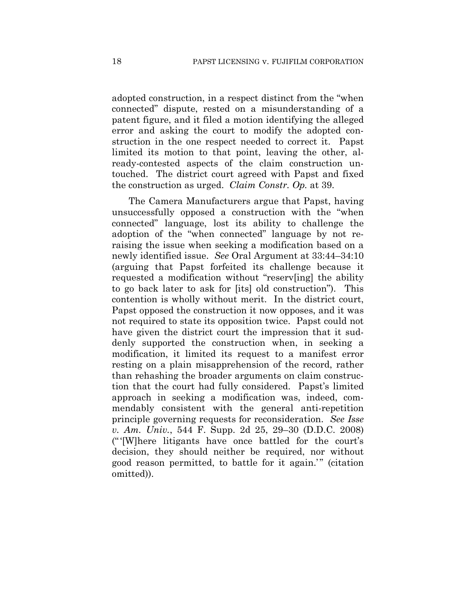adopted construction, in a respect distinct from the "when connected" dispute, rested on a misunderstanding of a patent figure, and it filed a motion identifying the alleged error and asking the court to modify the adopted construction in the one respect needed to correct it. Papst limited its motion to that point, leaving the other, already-contested aspects of the claim construction untouched. The district court agreed with Papst and fixed the construction as urged. *Claim Constr. Op.* at 39.

The Camera Manufacturers argue that Papst, having unsuccessfully opposed a construction with the "when connected" language, lost its ability to challenge the adoption of the "when connected" language by not reraising the issue when seeking a modification based on a newly identified issue. *See* Oral Argument at 33:44–34:10 (arguing that Papst forfeited its challenge because it requested a modification without "reserv[ing] the ability to go back later to ask for [its] old construction"). This contention is wholly without merit. In the district court, Papst opposed the construction it now opposes, and it was not required to state its opposition twice. Papst could not have given the district court the impression that it suddenly supported the construction when, in seeking a modification, it limited its request to a manifest error resting on a plain misapprehension of the record, rather than rehashing the broader arguments on claim construction that the court had fully considered. Papst's limited approach in seeking a modification was, indeed, commendably consistent with the general anti-repetition principle governing requests for reconsideration. *See Isse v. Am. Univ.*, 544 F. Supp. 2d 25, 29–30 (D.D.C. 2008) ("'[W]here litigants have once battled for the court's decision, they should neither be required, nor without good reason permitted, to battle for it again.'" (citation omitted)).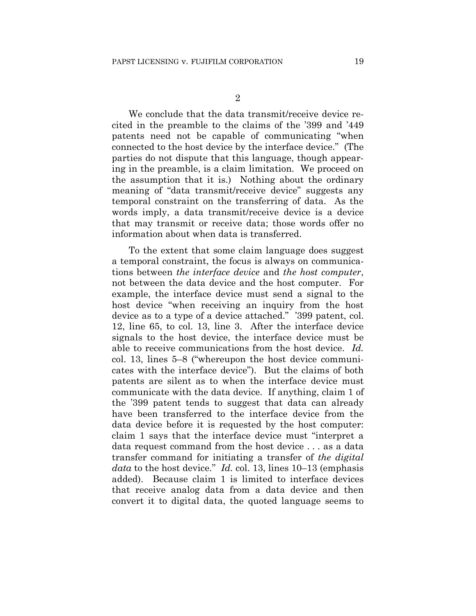We conclude that the data transmit/receive device recited in the preamble to the claims of the '399 and '449 patents need not be capable of communicating "when connected to the host device by the interface device." (The parties do not dispute that this language, though appearing in the preamble, is a claim limitation. We proceed on the assumption that it is.) Nothing about the ordinary meaning of "data transmit/receive device" suggests any temporal constraint on the transferring of data. As the words imply, a data transmit/receive device is a device that may transmit or receive data; those words offer no information about when data is transferred.

To the extent that some claim language does suggest a temporal constraint, the focus is always on communications between *the interface device* and *the host computer*, not between the data device and the host computer. For example, the interface device must send a signal to the host device "when receiving an inquiry from the host device as to a type of a device attached." '399 patent, col. 12, line 65, to col. 13, line 3. After the interface device signals to the host device, the interface device must be able to receive communications from the host device. *Id.*  col. 13, lines 5–8 ("whereupon the host device communicates with the interface device"). But the claims of both patents are silent as to when the interface device must communicate with the data device. If anything, claim 1 of the '399 patent tends to suggest that data can already have been transferred to the interface device from the data device before it is requested by the host computer: claim 1 says that the interface device must "interpret a data request command from the host device . . . as a data transfer command for initiating a transfer of *the digital data* to the host device." *Id.* col. 13, lines 10–13 (emphasis added). Because claim 1 is limited to interface devices that receive analog data from a data device and then convert it to digital data, the quoted language seems to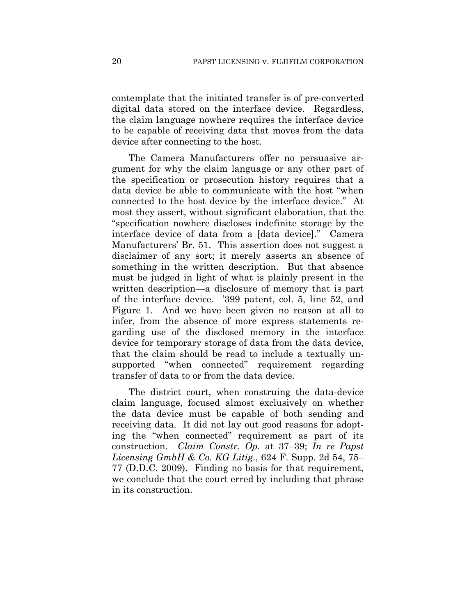contemplate that the initiated transfer is of pre-converted digital data stored on the interface device. Regardless, the claim language nowhere requires the interface device to be capable of receiving data that moves from the data device after connecting to the host.

The Camera Manufacturers offer no persuasive argument for why the claim language or any other part of the specification or prosecution history requires that a data device be able to communicate with the host "when connected to the host device by the interface device." At most they assert, without significant elaboration, that the "specification nowhere discloses indefinite storage by the interface device of data from a [data device]." Camera Manufacturers' Br. 51. This assertion does not suggest a disclaimer of any sort; it merely asserts an absence of something in the written description. But that absence must be judged in light of what is plainly present in the written description—a disclosure of memory that is part of the interface device. '399 patent, col. 5, line 52, and Figure 1. And we have been given no reason at all to infer, from the absence of more express statements regarding use of the disclosed memory in the interface device for temporary storage of data from the data device, that the claim should be read to include a textually unsupported "when connected" requirement regarding transfer of data to or from the data device.

The district court, when construing the data-device claim language, focused almost exclusively on whether the data device must be capable of both sending and receiving data. It did not lay out good reasons for adopting the "when connected" requirement as part of its construction. *Claim Constr. Op.* at 37–39; *In re Papst Licensing GmbH & Co. KG Litig.*, 624 F. Supp. 2d 54, 75– 77 (D.D.C. 2009). Finding no basis for that requirement, we conclude that the court erred by including that phrase in its construction.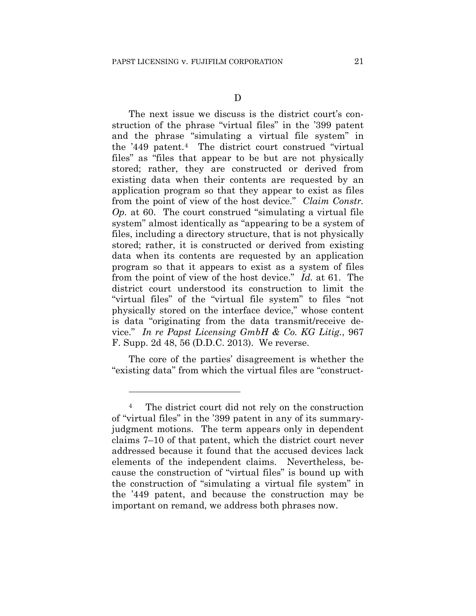The next issue we discuss is the district court's construction of the phrase "virtual files" in the '399 patent and the phrase "simulating a virtual file system" in the '449 patent.4 The district court construed "virtual files" as "files that appear to be but are not physically stored; rather, they are constructed or derived from existing data when their contents are requested by an application program so that they appear to exist as files from the point of view of the host device." *Claim Constr. Op.* at 60. The court construed "simulating a virtual file system" almost identically as "appearing to be a system of files, including a directory structure, that is not physically stored; rather, it is constructed or derived from existing data when its contents are requested by an application program so that it appears to exist as a system of files from the point of view of the host device." *Id.* at 61. The district court understood its construction to limit the "virtual files" of the "virtual file system" to files "not physically stored on the interface device," whose content is data "originating from the data transmit/receive device." *In re Papst Licensing GmbH & Co. KG Litig.*, 967 F. Supp. 2d 48, 56 (D.D.C. 2013). We reverse.

The core of the parties' disagreement is whether the "existing data" from which the virtual files are "construct-

<u>.</u>

<sup>4</sup> The district court did not rely on the construction of "virtual files" in the '399 patent in any of its summaryjudgment motions. The term appears only in dependent claims 7–10 of that patent, which the district court never addressed because it found that the accused devices lack elements of the independent claims. Nevertheless, because the construction of "virtual files" is bound up with the construction of "simulating a virtual file system" in the '449 patent, and because the construction may be important on remand, we address both phrases now.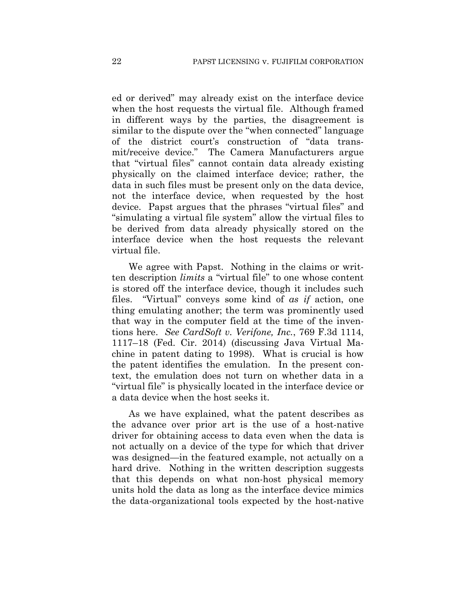ed or derived" may already exist on the interface device when the host requests the virtual file. Although framed in different ways by the parties, the disagreement is similar to the dispute over the "when connected" language of the district court's construction of "data transmit/receive device." The Camera Manufacturers argue that "virtual files" cannot contain data already existing physically on the claimed interface device; rather, the data in such files must be present only on the data device, not the interface device, when requested by the host device. Papst argues that the phrases "virtual files" and "simulating a virtual file system" allow the virtual files to be derived from data already physically stored on the interface device when the host requests the relevant virtual file.

We agree with Papst. Nothing in the claims or written description *limits* a "virtual file" to one whose content is stored off the interface device, though it includes such files. "Virtual" conveys some kind of *as if* action, one thing emulating another; the term was prominently used that way in the computer field at the time of the inventions here. *See CardSoft v. Verifone, Inc.*, 769 F.3d 1114, 1117–18 (Fed. Cir. 2014) (discussing Java Virtual Machine in patent dating to 1998). What is crucial is how the patent identifies the emulation. In the present context, the emulation does not turn on whether data in a "virtual file" is physically located in the interface device or a data device when the host seeks it.

As we have explained, what the patent describes as the advance over prior art is the use of a host-native driver for obtaining access to data even when the data is not actually on a device of the type for which that driver was designed—in the featured example, not actually on a hard drive. Nothing in the written description suggests that this depends on what non-host physical memory units hold the data as long as the interface device mimics the data-organizational tools expected by the host-native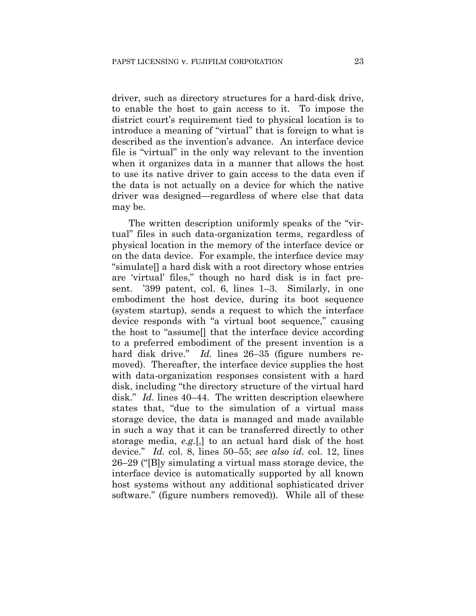driver, such as directory structures for a hard-disk drive, to enable the host to gain access to it. To impose the district court's requirement tied to physical location is to introduce a meaning of "virtual" that is foreign to what is described as the invention's advance. An interface device file is "virtual" in the only way relevant to the invention when it organizes data in a manner that allows the host to use its native driver to gain access to the data even if the data is not actually on a device for which the native driver was designed—regardless of where else that data may be.

The written description uniformly speaks of the "virtual" files in such data-organization terms, regardless of physical location in the memory of the interface device or on the data device. For example, the interface device may "simulate[] a hard disk with a root directory whose entries are 'virtual' files," though no hard disk is in fact present. '399 patent, col. 6, lines 1–3. Similarly, in one embodiment the host device, during its boot sequence (system startup), sends a request to which the interface device responds with "a virtual boot sequence," causing the host to "assume[] that the interface device according to a preferred embodiment of the present invention is a hard disk drive." *Id.* lines 26–35 (figure numbers removed). Thereafter, the interface device supplies the host with data-organization responses consistent with a hard disk, including "the directory structure of the virtual hard disk." *Id.* lines 40–44. The written description elsewhere states that, "due to the simulation of a virtual mass storage device, the data is managed and made available in such a way that it can be transferred directly to other storage media, *e.g.*[,] to an actual hard disk of the host device." *Id.* col. 8, lines 50–55; *see also id.* col. 12, lines 26–29 ("[B]y simulating a virtual mass storage device, the interface device is automatically supported by all known host systems without any additional sophisticated driver software." (figure numbers removed)). While all of these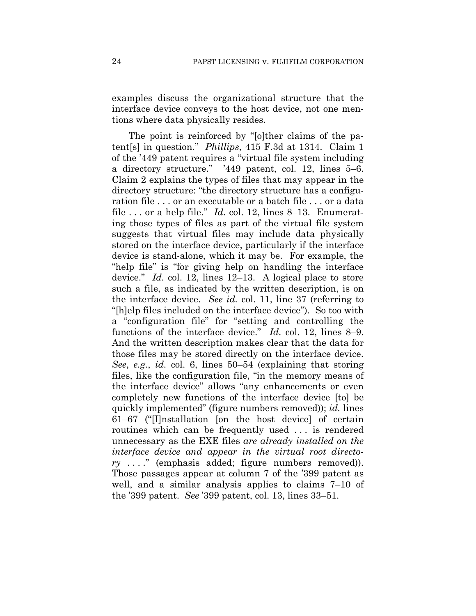examples discuss the organizational structure that the interface device conveys to the host device, not one mentions where data physically resides.

The point is reinforced by "[o]ther claims of the patent[s] in question." *Phillips*, 415 F.3d at 1314. Claim 1 of the '449 patent requires a "virtual file system including a directory structure." '449 patent, col. 12, lines 5–6. Claim 2 explains the types of files that may appear in the directory structure: "the directory structure has a configuration file . . . or an executable or a batch file . . . or a data file . . . or a help file." *Id.* col. 12, lines 8–13. Enumerating those types of files as part of the virtual file system suggests that virtual files may include data physically stored on the interface device, particularly if the interface device is stand-alone, which it may be. For example, the "help file" is "for giving help on handling the interface device." *Id.* col. 12, lines 12–13. A logical place to store such a file, as indicated by the written description, is on the interface device. *See id.* col. 11, line 37 (referring to "[h]elp files included on the interface device"). So too with a "configuration file" for "setting and controlling the functions of the interface device." *Id.* col. 12, lines 8–9. And the written description makes clear that the data for those files may be stored directly on the interface device. *See*, *e.g.*, *id.* col. 6, lines 50–54 (explaining that storing files, like the configuration file, "in the memory means of the interface device" allows "any enhancements or even completely new functions of the interface device [to] be quickly implemented" (figure numbers removed)); *id.* lines 61–67 ("[I]nstallation [on the host device] of certain routines which can be frequently used . . . is rendered unnecessary as the EXE files *are already installed on the interface device and appear in the virtual root directory* . . . ." (emphasis added; figure numbers removed)). Those passages appear at column 7 of the '399 patent as well, and a similar analysis applies to claims 7–10 of the '399 patent. *See* '399 patent, col. 13, lines 33–51.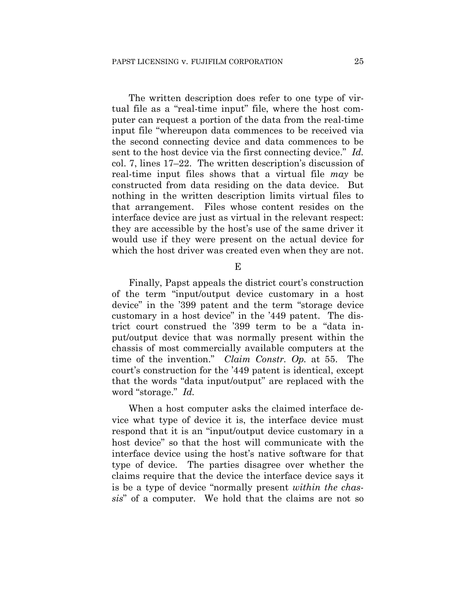The written description does refer to one type of virtual file as a "real-time input" file, where the host computer can request a portion of the data from the real-time input file "whereupon data commences to be received via the second connecting device and data commences to be sent to the host device via the first connecting device." *Id.*  col. 7, lines 17–22. The written description's discussion of real-time input files shows that a virtual file *may* be constructed from data residing on the data device. But nothing in the written description limits virtual files to that arrangement. Files whose content resides on the interface device are just as virtual in the relevant respect: they are accessible by the host's use of the same driver it would use if they were present on the actual device for which the host driver was created even when they are not.

E

Finally, Papst appeals the district court's construction of the term "input/output device customary in a host device" in the '399 patent and the term "storage device customary in a host device" in the '449 patent. The district court construed the '399 term to be a "data input/output device that was normally present within the chassis of most commercially available computers at the time of the invention." *Claim Constr. Op.* at 55. The court's construction for the '449 patent is identical, except that the words "data input/output" are replaced with the word "storage." *Id.*

When a host computer asks the claimed interface device what type of device it is, the interface device must respond that it is an "input/output device customary in a host device" so that the host will communicate with the interface device using the host's native software for that type of device. The parties disagree over whether the claims require that the device the interface device says it is be a type of device "normally present *within the chassis*" of a computer. We hold that the claims are not so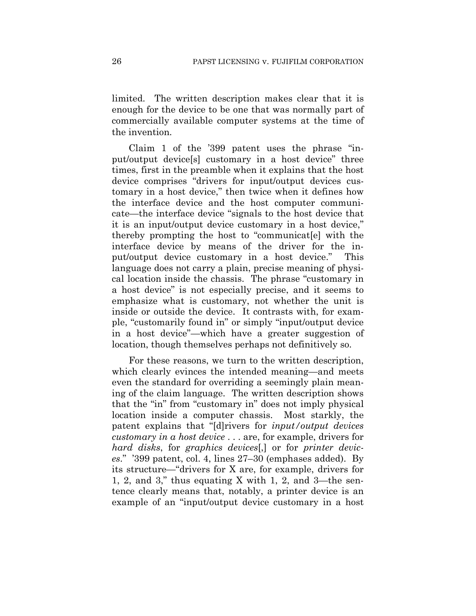limited. The written description makes clear that it is enough for the device to be one that was normally part of commercially available computer systems at the time of the invention.

Claim 1 of the '399 patent uses the phrase "input/output device[s] customary in a host device" three times, first in the preamble when it explains that the host device comprises "drivers for input/output devices customary in a host device," then twice when it defines how the interface device and the host computer communicate—the interface device "signals to the host device that it is an input/output device customary in a host device," thereby prompting the host to "communicat[e] with the interface device by means of the driver for the input/output device customary in a host device." This language does not carry a plain, precise meaning of physical location inside the chassis. The phrase "customary in a host device" is not especially precise, and it seems to emphasize what is customary, not whether the unit is inside or outside the device. It contrasts with, for example, "customarily found in" or simply "input/output device in a host device"—which have a greater suggestion of location, though themselves perhaps not definitively so.

For these reasons, we turn to the written description, which clearly evinces the intended meaning—and meets even the standard for overriding a seemingly plain meaning of the claim language. The written description shows that the "in" from "customary in" does not imply physical location inside a computer chassis. Most starkly, the patent explains that "[d]rivers for *input/output devices customary in a host device* . . . are, for example, drivers for *hard disks*, for *graphics devices*[,] or for *printer devices*." '399 patent, col. 4, lines 27–30 (emphases added). By its structure—"drivers for X are, for example, drivers for 1, 2, and 3," thus equating X with 1, 2, and 3—the sentence clearly means that, notably, a printer device is an example of an "input/output device customary in a host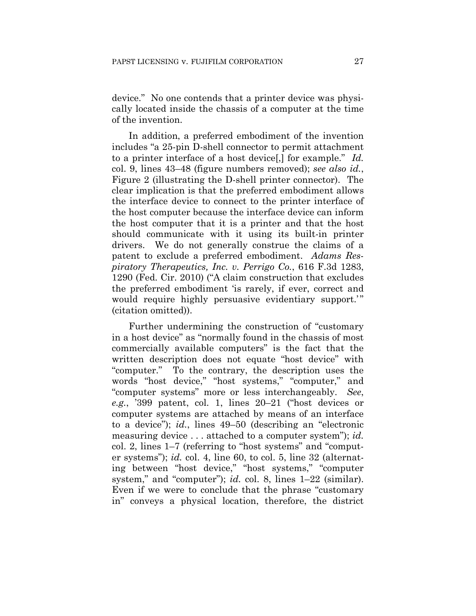device." No one contends that a printer device was physically located inside the chassis of a computer at the time of the invention.

In addition, a preferred embodiment of the invention includes "a 25-pin D-shell connector to permit attachment to a printer interface of a host device[,] for example." *Id.* col. 9, lines 43–48 (figure numbers removed); *see also id.*, Figure 2 (illustrating the D-shell printer connector). The clear implication is that the preferred embodiment allows the interface device to connect to the printer interface of the host computer because the interface device can inform the host computer that it is a printer and that the host should communicate with it using its built-in printer drivers. We do not generally construe the claims of a patent to exclude a preferred embodiment. *Adams Respiratory Therapeutics, Inc. v. Perrigo Co.*, 616 F.3d 1283, 1290 (Fed. Cir. 2010) ("A claim construction that excludes the preferred embodiment 'is rarely, if ever, correct and would require highly persuasive evidentiary support." (citation omitted)).

Further undermining the construction of "customary in a host device" as "normally found in the chassis of most commercially available computers" is the fact that the written description does not equate "host device" with "computer." To the contrary, the description uses the words "host device," "host systems," "computer," and "computer systems" more or less interchangeably. *See*, *e.g.*, '399 patent, col. 1, lines 20–21 ("host devices or computer systems are attached by means of an interface to a device"); *id.*, lines 49–50 (describing an "electronic measuring device . . . attached to a computer system"); *id.* col. 2, lines 1–7 (referring to "host systems" and "computer systems"); *id.* col. 4, line 60, to col. 5, line 32 (alternating between "host device," "host systems," "computer system," and "computer"); *id.* col. 8, lines  $1-22$  (similar). Even if we were to conclude that the phrase "customary in" conveys a physical location, therefore, the district